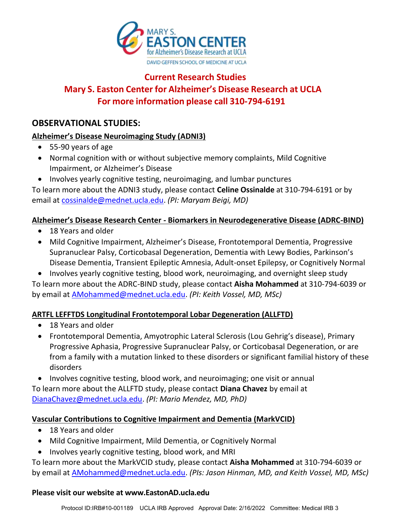

# **Current Research Studies Mary S. Easton Center for Alzheimer's Disease Research at UCLA For more information please call 310-794-6191**

# **OBSERVATIONAL STUDIES:**

# **Alzheimer's Disease Neuroimaging Study (ADNI3)**

- 55-90 years of age
- Normal cognition with or without subjective memory complaints, Mild Cognitive Impairment, or Alzheimer's Disease
- Involves yearly cognitive testing, neuroimaging, and lumbar punctures

To learn more about the ADNI3 study, please contact **Celine Ossinalde** at 310-794-6191 or by email at [cossinalde@mednet.ucla.edu.](http://cossinalde@mednet.ucla.edu) *(PI: Maryam Beigi, MD)*

# **Alzheimer's Disease Research Center - Biomarkers in Neurodegenerative Disease (ADRC-BIND)**

- 18 Years and older
- Mild Cognitive Impairment, Alzheimer's Disease, Frontotemporal Dementia, Progressive Supranuclear Palsy, Corticobasal Degeneration, Dementia with Lewy Bodies, Parkinson's Disease Dementia, Transient Epileptic Amnesia, Adult-onset Epilepsy, or Cognitively Normal
- Involves yearly cognitive testing, blood work, neuroimaging, and overnight sleep study

To learn more about the ADRC-BIND study, please contact **Aisha Mohammed** at 310-794-6039 or by email at [AMohammed@mednet.ucla.edu.](http://AMohammed@mednet.ucla.edu) *(PI: Keith Vossel, MD, MSc)*

# **ARTFL LEFFTDS Longitudinal Frontotemporal Lobar Degeneration (ALLFTD)**

- 18 Years and older
- Frontotemporal Dementia, Amyotrophic Lateral Sclerosis (Lou Gehrig's disease), Primary Progressive Aphasia, Progressive Supranuclear Palsy, or Corticobasal Degeneration, or are from a family with a mutation linked to these disorders or significant familial history of these disorders

• Involves cognitive testing, blood work, and neuroimaging; one visit or annual To learn more about the ALLFTD study, please contact **Diana Chavez** by email at [DianaChavez@mednet.ucla.edu.](http://DianaChavez@mednet.ucla.edu) *(PI: Mario Mendez, MD, PhD)*

# **Vascular Contributions to Cognitive Impairment and Dementia (MarkVCID)**

- 18 Years and older
- Mild Cognitive Impairment, Mild Dementia, or Cognitively Normal
- Involves yearly cognitive testing, blood work, and MRI

To learn more about the MarkVCID study, please contact **Aisha Mohammed** at 310-794-6039 or by email at [AMohammed@mednet.ucla.edu.](http://AMohammed@mednet.ucla.edu) *(PIs: Jason Hinman, MD, and Keith Vossel, MD, MSc)*

#### **Please visit our website at www.EastonAD.ucla.edu**